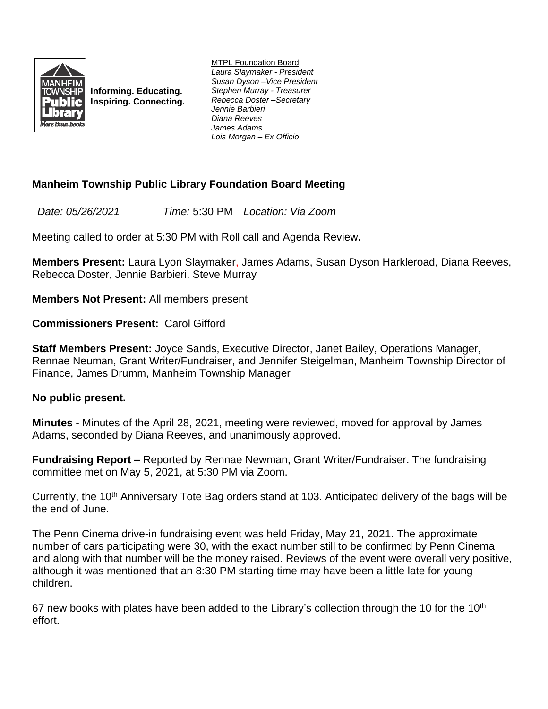

**Informing. Educating. Inspiring. Connecting.** MTPL Foundation Board *Laura Slaymaker - President Susan Dyson –Vice President Stephen Murray - Treasurer Rebecca Doster –Secretary Jennie Barbieri Diana Reeves James Adams Lois Morgan – Ex Officio*

## **Manheim Township Public Library Foundation Board Meeting**

*Date: 05/26/2021 Time:* 5:30 PM *Location: Via Zoom*

Meeting called to order at 5:30 PM with Roll call and Agenda Review**.**

**Members Present:** Laura Lyon Slaymaker, James Adams, Susan Dyson Harkleroad, Diana Reeves, Rebecca Doster, Jennie Barbieri. Steve Murray

**Members Not Present:** All members present

**Commissioners Present:** Carol Gifford

**Staff Members Present:** Joyce Sands, Executive Director, Janet Bailey, Operations Manager, Rennae Neuman, Grant Writer/Fundraiser, and Jennifer Steigelman, Manheim Township Director of Finance, James Drumm, Manheim Township Manager

## **No public present.**

**Minutes** - Minutes of the April 28, 2021, meeting were reviewed, moved for approval by James Adams, seconded by Diana Reeves, and unanimously approved.

**Fundraising Report –** Reported by Rennae Newman, Grant Writer/Fundraiser. The fundraising committee met on May 5, 2021, at 5:30 PM via Zoom.

Currently, the 10<sup>th</sup> Anniversary Tote Bag orders stand at 103. Anticipated delivery of the bags will be the end of June.

The Penn Cinema drive-in fundraising event was held Friday, May 21, 2021. The approximate number of cars participating were 30, with the exact number still to be confirmed by Penn Cinema and along with that number will be the money raised. Reviews of the event were overall very positive, although it was mentioned that an 8:30 PM starting time may have been a little late for young children.

67 new books with plates have been added to the Library's collection through the 10 for the 10<sup>th</sup> effort.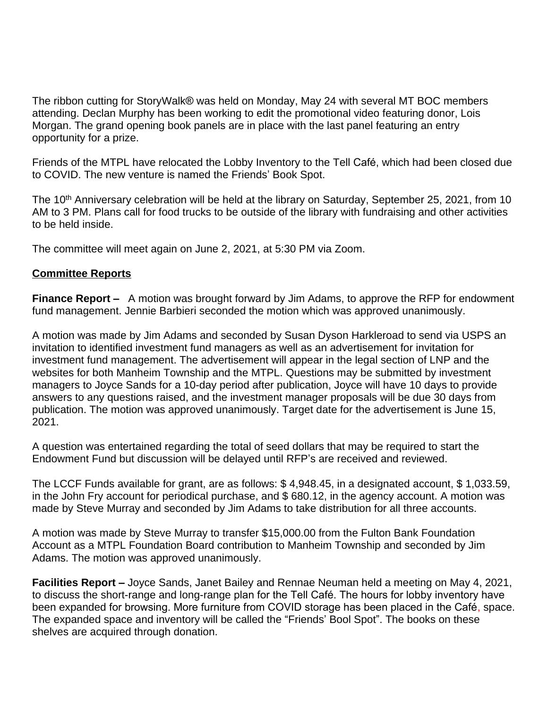The ribbon cutting for StoryWalk® was held on Monday, May 24 with several MT BOC members attending. Declan Murphy has been working to edit the promotional video featuring donor, Lois Morgan. The grand opening book panels are in place with the last panel featuring an entry opportunity for a prize.

Friends of the MTPL have relocated the Lobby Inventory to the Tell Café, which had been closed due to COVID. The new venture is named the Friends' Book Spot.

The 10<sup>th</sup> Anniversary celebration will be held at the library on Saturday, September 25, 2021, from 10 AM to 3 PM. Plans call for food trucks to be outside of the library with fundraising and other activities to be held inside.

The committee will meet again on June 2, 2021, at 5:30 PM via Zoom.

## **Committee Reports**

**Finance Report –** A motion was brought forward by Jim Adams, to approve the RFP for endowment fund management. Jennie Barbieri seconded the motion which was approved unanimously.

A motion was made by Jim Adams and seconded by Susan Dyson Harkleroad to send via USPS an invitation to identified investment fund managers as well as an advertisement for invitation for investment fund management. The advertisement will appear in the legal section of LNP and the websites for both Manheim Township and the MTPL. Questions may be submitted by investment managers to Joyce Sands for a 10-day period after publication, Joyce will have 10 days to provide answers to any questions raised, and the investment manager proposals will be due 30 days from publication. The motion was approved unanimously. Target date for the advertisement is June 15, 2021.

A question was entertained regarding the total of seed dollars that may be required to start the Endowment Fund but discussion will be delayed until RFP's are received and reviewed.

The LCCF Funds available for grant, are as follows: \$ 4,948.45, in a designated account, \$ 1,033.59, in the John Fry account for periodical purchase, and \$ 680.12, in the agency account. A motion was made by Steve Murray and seconded by Jim Adams to take distribution for all three accounts.

A motion was made by Steve Murray to transfer \$15,000.00 from the Fulton Bank Foundation Account as a MTPL Foundation Board contribution to Manheim Township and seconded by Jim Adams. The motion was approved unanimously.

**Facilities Report –** Joyce Sands, Janet Bailey and Rennae Neuman held a meeting on May 4, 2021, to discuss the short-range and long-range plan for the Tell Café. The hours for lobby inventory have been expanded for browsing. More furniture from COVID storage has been placed in the Café, space. The expanded space and inventory will be called the "Friends' Bool Spot". The books on these shelves are acquired through donation.